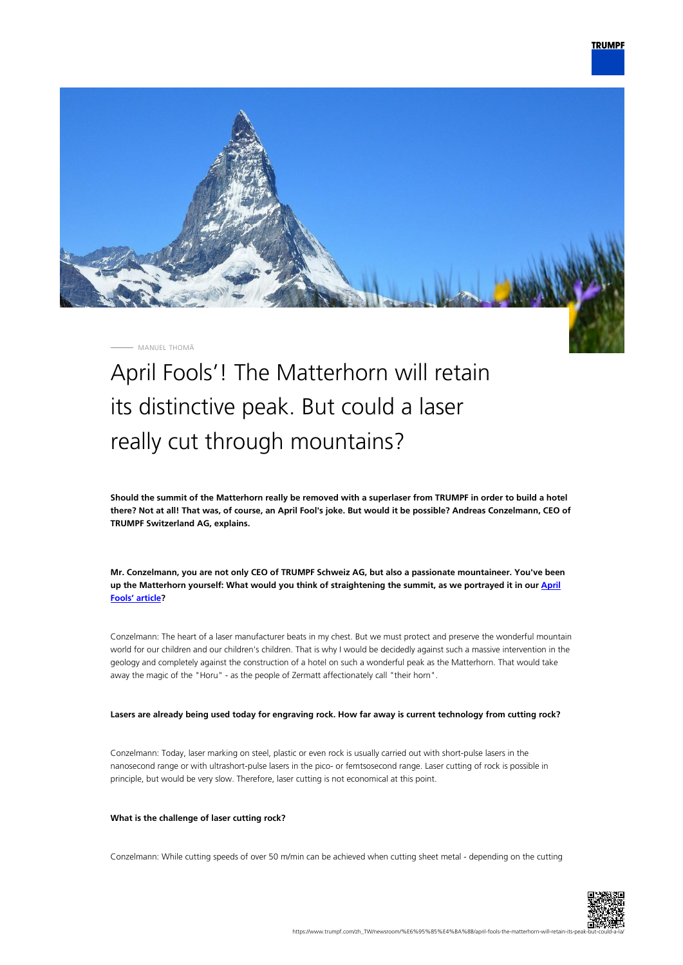

MANUEL THOMÄ

# April Fools'! The Matterhorn will retain its distinctive peak. But could a laser really cut through mountains?

**Should the summit of the Matterhorn really be removed with a superlaser from TRUMPF in order to build a hotel there? Not at all! That was, of course, an April Fool's joke. But would it be possible? Andreas Conzelmann, CEO of TRUMPF Switzerland AG, explains.**

**Mr. Conzelmann, you are not only CEO of TRUMPF Schweiz AG, but also a passionate mountaineer. You've been up the Matterhorn yourself: What would you think of straightening the summit, as we portrayed it in our [April](https://www.trumpf.com/zh_TW/newsroom/%E6%95%85%E4%BA%8B/matterhorn-trumpf-to-laser-away-peaks/) [Fools' article?](https://www.trumpf.com/zh_TW/newsroom/%E6%95%85%E4%BA%8B/matterhorn-trumpf-to-laser-away-peaks/)**

Conzelmann: The heart of a laser manufacturer beats in my chest. But we must protect and preserve the wonderful mountain world for our children and our children's children. That is why I would be decidedly against such a massive intervention in the geology and completely against the construction of a hotel on such a wonderful peak as the Matterhorn. That would take away the magic of the "Horu" - as the people of Zermatt affectionately call "their horn".

## **Lasers are already being used today for engraving rock. How far away is current technology from cutting rock?**

Conzelmann: Today, laser marking on steel, plastic or even rock is usually carried out with short-pulse lasers in the nanosecond range or with ultrashort-pulse lasers in the pico- or femtsosecond range. Laser cutting of rock is possible in principle, but would be very slow. Therefore, laser cutting is not economical at this point.

#### **What is the challenge of laser cutting rock?**

Conzelmann: While cutting speeds of over 50 m/min can be achieved when cutting sheet metal - depending on the cutting